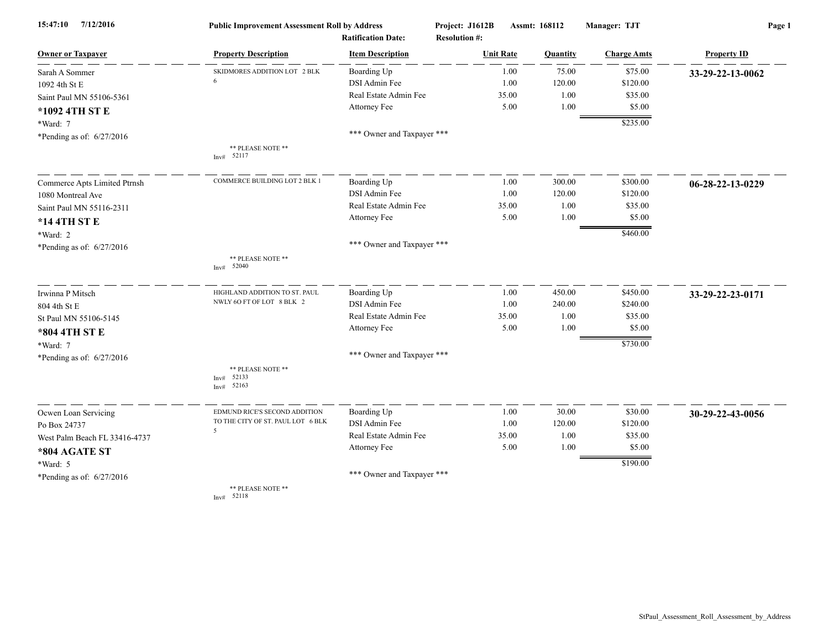| 7/12/2016<br>15:47:10         | <b>Public Improvement Assessment Roll by Address</b> |                                                      | Project: J1612B                          | Assmt: 168112 |                    | Page 1             |  |
|-------------------------------|------------------------------------------------------|------------------------------------------------------|------------------------------------------|---------------|--------------------|--------------------|--|
| <b>Owner or Taxpayer</b>      | <b>Property Description</b>                          | <b>Ratification Date:</b><br><b>Item Description</b> | <b>Resolution #:</b><br><b>Unit Rate</b> | Quantity      | <b>Charge Amts</b> | <b>Property ID</b> |  |
| Sarah A Sommer                | SKIDMORES ADDITION LOT 2 BLK                         | Boarding Up                                          | 1.00                                     | 75.00         | \$75.00            | 33-29-22-13-0062   |  |
| 1092 4th St E                 | 6                                                    | DSI Admin Fee                                        | 1.00                                     | 120.00        | \$120.00           |                    |  |
| Saint Paul MN 55106-5361      |                                                      | Real Estate Admin Fee                                | 35.00                                    | 1.00          | \$35.00            |                    |  |
| *1092 4TH ST E                |                                                      | Attorney Fee                                         | 5.00                                     | 1.00          | \$5.00             |                    |  |
| *Ward: 7                      |                                                      |                                                      |                                          |               | \$235.00           |                    |  |
| *Pending as of: 6/27/2016     |                                                      | *** Owner and Taxpayer ***                           |                                          |               |                    |                    |  |
|                               | ** PLEASE NOTE **<br>Inv# 52117                      |                                                      |                                          |               |                    |                    |  |
| Commerce Apts Limited Ptrnsh  | COMMERCE BUILDING LOT 2 BLK 1                        | Boarding Up                                          | 1.00                                     | 300.00        | \$300.00           | 06-28-22-13-0229   |  |
| 1080 Montreal Ave             |                                                      | DSI Admin Fee                                        | 1.00                                     | 120.00        | \$120.00           |                    |  |
| Saint Paul MN 55116-2311      |                                                      | Real Estate Admin Fee                                | 35.00                                    | 1.00          | \$35.00            |                    |  |
| *14 4TH ST E                  |                                                      | Attorney Fee                                         | 5.00                                     | 1.00          | \$5.00             |                    |  |
| *Ward: 2                      |                                                      |                                                      |                                          |               | \$460.00           |                    |  |
| *Pending as of: $6/27/2016$   |                                                      | *** Owner and Taxpayer ***                           |                                          |               |                    |                    |  |
|                               | ** PLEASE NOTE **<br>52040<br>Inv#                   |                                                      |                                          |               |                    |                    |  |
| Irwinna P Mitsch              | HIGHLAND ADDITION TO ST. PAUL                        | Boarding Up                                          | 1.00                                     | 450.00        | \$450.00           | 33-29-22-23-0171   |  |
| 804 4th St E                  | NWLY 6O FT OF LOT 8 BLK 2                            | <b>DSI</b> Admin Fee                                 | 1.00                                     | 240.00        | \$240.00           |                    |  |
| St Paul MN 55106-5145         |                                                      | Real Estate Admin Fee                                | 35.00                                    | 1.00          | \$35.00            |                    |  |
| *804 4TH ST E                 |                                                      | Attorney Fee                                         | 5.00                                     | 1.00          | \$5.00             |                    |  |
| *Ward: 7                      |                                                      |                                                      |                                          |               | \$730.00           |                    |  |
| *Pending as of: 6/27/2016     |                                                      | *** Owner and Taxpayer ***                           |                                          |               |                    |                    |  |
|                               | ** PLEASE NOTE **<br>52133<br>Inv#<br>52163<br>Inv#  |                                                      |                                          |               |                    |                    |  |
| Ocwen Loan Servicing          | EDMUND RICE'S SECOND ADDITION                        | Boarding Up                                          | 1.00                                     | 30.00         | \$30.00            | 30-29-22-43-0056   |  |
| Po Box 24737                  | TO THE CITY OF ST. PAUL LOT 6 BLK<br>5               | DSI Admin Fee                                        | 1.00                                     | 120.00        | \$120.00           |                    |  |
| West Palm Beach FL 33416-4737 |                                                      | Real Estate Admin Fee                                | 35.00                                    | 1.00          | \$35.00            |                    |  |
| *804 AGATE ST                 |                                                      | Attorney Fee                                         | 5.00                                     | 1.00          | \$5.00             |                    |  |
| *Ward: 5                      |                                                      |                                                      |                                          |               | \$190.00           |                    |  |
| *Pending as of: 6/27/2016     |                                                      | *** Owner and Taxpayer ***                           |                                          |               |                    |                    |  |
|                               | ** PLEASE NOTE **<br>Inv# 52118                      |                                                      |                                          |               |                    |                    |  |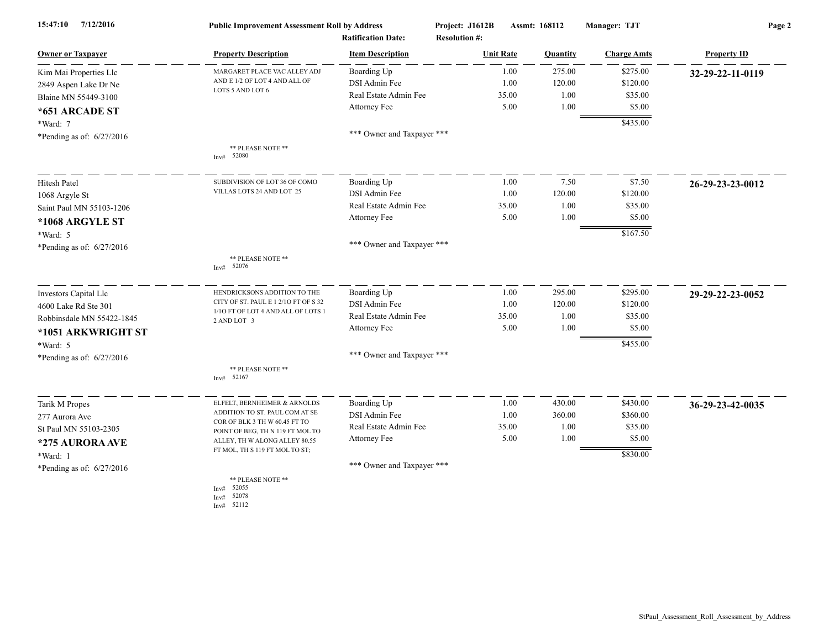| 7/12/2016<br>15:47:10       | <b>Public Improvement Assessment Roll by Address</b>              |                                                      | Project: J1612B<br>Assmt: 168112         |       | Manager: TJT | Page 2             |                    |
|-----------------------------|-------------------------------------------------------------------|------------------------------------------------------|------------------------------------------|-------|--------------|--------------------|--------------------|
| <b>Owner or Taxpayer</b>    | <b>Property Description</b>                                       | <b>Ratification Date:</b><br><b>Item Description</b> | <b>Resolution #:</b><br><b>Unit Rate</b> |       | Quantity     | <b>Charge Amts</b> | <b>Property ID</b> |
| Kim Mai Properties Llc      | MARGARET PLACE VAC ALLEY ADJ                                      | Boarding Up                                          |                                          | 1.00  | 275.00       | \$275.00           | 32-29-22-11-0119   |
| 2849 Aspen Lake Dr Ne       | AND E 1/2 OF LOT 4 AND ALL OF                                     | DSI Admin Fee                                        |                                          | 1.00  | 120.00       | \$120.00           |                    |
| Blaine MN 55449-3100        | LOTS 5 AND LOT 6                                                  | Real Estate Admin Fee                                |                                          | 35.00 | 1.00         | \$35.00            |                    |
| *651 ARCADE ST              |                                                                   | Attorney Fee                                         |                                          | 5.00  | 1.00         | \$5.00             |                    |
|                             |                                                                   |                                                      |                                          |       |              | \$435.00           |                    |
| *Ward: 7                    |                                                                   | *** Owner and Taxpayer ***                           |                                          |       |              |                    |                    |
| *Pending as of: 6/27/2016   | ** PLEASE NOTE **                                                 |                                                      |                                          |       |              |                    |                    |
|                             | Inv# 52080                                                        |                                                      |                                          |       |              |                    |                    |
| Hitesh Patel                | SUBDIVISION OF LOT 36 OF COMO                                     | Boarding Up                                          |                                          | 1.00  | 7.50         | \$7.50             | 26-29-23-23-0012   |
| 1068 Argyle St              | VILLAS LOTS 24 AND LOT 25                                         | DSI Admin Fee                                        |                                          | 1.00  | 120.00       | \$120.00           |                    |
| Saint Paul MN 55103-1206    |                                                                   | Real Estate Admin Fee                                |                                          | 35.00 | 1.00         | \$35.00            |                    |
| *1068 ARGYLE ST             |                                                                   | Attorney Fee                                         |                                          | 5.00  | 1.00         | \$5.00             |                    |
| *Ward: 5                    |                                                                   |                                                      |                                          |       |              | \$167.50           |                    |
| *Pending as of: 6/27/2016   |                                                                   | *** Owner and Taxpayer ***                           |                                          |       |              |                    |                    |
|                             | ** PLEASE NOTE **<br>Inv# 52076                                   |                                                      |                                          |       |              |                    |                    |
| Investors Capital Llc       | HENDRICKSONS ADDITION TO THE                                      | Boarding Up                                          |                                          | 1.00  | 295.00       | \$295.00           | 29-29-22-23-0052   |
| 4600 Lake Rd Ste 301        | CITY OF ST. PAUL E 1 2/10 FT OF S 32                              | DSI Admin Fee                                        |                                          | 1.00  | 120.00       | \$120.00           |                    |
| Robbinsdale MN 55422-1845   | 1/10 FT OF LOT 4 AND ALL OF LOTS 1<br>2 AND LOT 3                 | Real Estate Admin Fee                                |                                          | 35.00 | 1.00         | \$35.00            |                    |
| *1051 ARKWRIGHT ST          |                                                                   | Attorney Fee                                         |                                          | 5.00  | 1.00         | \$5.00             |                    |
| *Ward: 5                    |                                                                   |                                                      |                                          |       |              | \$455.00           |                    |
| *Pending as of: 6/27/2016   |                                                                   | *** Owner and Taxpayer ***                           |                                          |       |              |                    |                    |
|                             | ** PLEASE NOTE **<br>Inv# 52167                                   |                                                      |                                          |       |              |                    |                    |
| Tarik M Propes              | ELFELT, BERNHEIMER & ARNOLDS                                      | Boarding Up                                          |                                          | 1.00  | 430.00       | \$430.00           | 36-29-23-42-0035   |
| 277 Aurora Ave              | ADDITION TO ST. PAUL COM AT SE                                    | DSI Admin Fee                                        |                                          | 1.00  | 360.00       | \$360.00           |                    |
| St Paul MN 55103-2305       | COR OF BLK 3 TH W 60.45 FT TO<br>POINT OF BEG, TH N 119 FT MOL TO | Real Estate Admin Fee                                |                                          | 35.00 | 1.00         | \$35.00            |                    |
| *275 AURORA AVE             | ALLEY, TH W ALONG ALLEY 80.55                                     | Attorney Fee                                         |                                          | 5.00  | 1.00         | \$5.00             |                    |
| *Ward: 1                    | FT MOL, TH S 119 FT MOL TO ST;                                    |                                                      |                                          |       |              | \$830.00           |                    |
| *Pending as of: $6/27/2016$ |                                                                   | *** Owner and Taxpayer ***                           |                                          |       |              |                    |                    |
|                             | ** PLEASE NOTE **<br>52055<br>Inv#<br>52078<br>Inv#<br>Inv# 52112 |                                                      |                                          |       |              |                    |                    |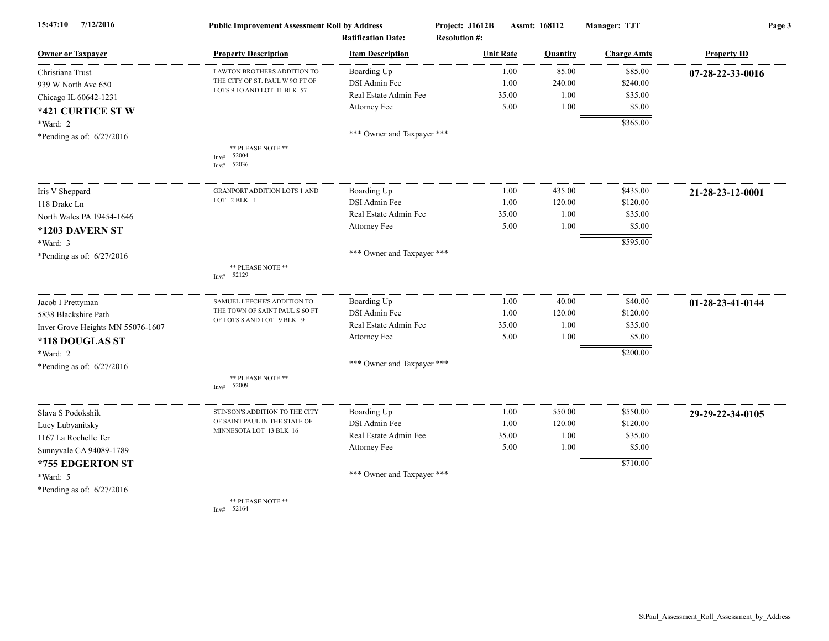| 15:47:10<br>7/12/2016             | <b>Public Improvement Assessment Roll by Address</b><br><b>Ratification Date:</b> |                            | Project: J1612B<br>Assmt: 168112<br><b>Resolution #:</b> |       | Manager: TJT | Page 3             |                    |
|-----------------------------------|-----------------------------------------------------------------------------------|----------------------------|----------------------------------------------------------|-------|--------------|--------------------|--------------------|
| <b>Owner or Taxpayer</b>          | <b>Property Description</b>                                                       | <b>Item Description</b>    | <b>Unit Rate</b>                                         |       | Quantity     | <b>Charge Amts</b> | <b>Property ID</b> |
| Christiana Trust                  | <b>LAWTON BROTHERS ADDITION TO</b>                                                | Boarding Up                |                                                          | 1.00  | 85.00        | \$85.00            | 07-28-22-33-0016   |
| 939 W North Ave 650               | THE CITY OF ST. PAUL W 90 FT OF                                                   | DSI Admin Fee              |                                                          | 1.00  | 240.00       | \$240.00           |                    |
| Chicago IL 60642-1231             | LOTS 9 10 AND LOT 11 BLK 57                                                       | Real Estate Admin Fee      |                                                          | 35.00 | 1.00         | \$35.00            |                    |
| *421 CURTICE ST W                 |                                                                                   | Attorney Fee               |                                                          | 5.00  | 1.00         | \$5.00             |                    |
| *Ward: 2                          |                                                                                   |                            |                                                          |       |              | \$365.00           |                    |
| *Pending as of: 6/27/2016         |                                                                                   | *** Owner and Taxpayer *** |                                                          |       |              |                    |                    |
|                                   | ** PLEASE NOTE **<br>52004<br>Inv#<br>52036<br>Inv#                               |                            |                                                          |       |              |                    |                    |
| Iris V Sheppard                   | <b>GRANPORT ADDITION LOTS 1 AND</b>                                               | Boarding Up                |                                                          | 1.00  | 435.00       | \$435.00           | 21-28-23-12-0001   |
| 118 Drake Ln                      | LOT 2 BLK 1                                                                       | DSI Admin Fee              |                                                          | 1.00  | 120.00       | \$120.00           |                    |
| North Wales PA 19454-1646         |                                                                                   | Real Estate Admin Fee      |                                                          | 35.00 | 1.00         | \$35.00            |                    |
| *1203 DAVERN ST                   |                                                                                   | Attorney Fee               |                                                          | 5.00  | 1.00         | \$5.00             |                    |
| *Ward: 3                          |                                                                                   |                            |                                                          |       |              | \$595.00           |                    |
| *Pending as of: 6/27/2016         |                                                                                   | *** Owner and Taxpayer *** |                                                          |       |              |                    |                    |
|                                   | ** PLEASE NOTE **<br>52129<br>Inv#                                                |                            |                                                          |       |              |                    |                    |
| Jacob I Prettyman                 | SAMUEL LEECHE'S ADDITION TO                                                       | Boarding Up                |                                                          | 1.00  | 40.00        | \$40.00            | 01-28-23-41-0144   |
| 5838 Blackshire Path              | THE TOWN OF SAINT PAUL S 6O FT                                                    | DSI Admin Fee              |                                                          | 1.00  | 120.00       | \$120.00           |                    |
| Inver Grove Heights MN 55076-1607 | OF LOTS 8 AND LOT 9 BLK 9                                                         | Real Estate Admin Fee      |                                                          | 35.00 | 1.00         | \$35.00            |                    |
| *118 DOUGLAS ST                   |                                                                                   | Attorney Fee               |                                                          | 5.00  | 1.00         | \$5.00             |                    |
| *Ward: 2                          |                                                                                   |                            |                                                          |       |              | \$200.00           |                    |
| *Pending as of: 6/27/2016         |                                                                                   | *** Owner and Taxpayer *** |                                                          |       |              |                    |                    |
|                                   | ** PLEASE NOTE **<br>Inv# 52009                                                   |                            |                                                          |       |              |                    |                    |
| Slava S Podokshik                 | STINSON'S ADDITION TO THE CITY                                                    | Boarding Up                |                                                          | 1.00  | 550.00       | \$550.00           | 29-29-22-34-0105   |
| Lucy Lubyanitsky                  | OF SAINT PAUL IN THE STATE OF                                                     | DSI Admin Fee              |                                                          | 1.00  | 120.00       | \$120.00           |                    |
| 1167 La Rochelle Ter              | MINNESOTA LOT 13 BLK 16                                                           | Real Estate Admin Fee      |                                                          | 35.00 | 1.00         | \$35.00            |                    |
| Sunnyvale CA 94089-1789           |                                                                                   | Attorney Fee               |                                                          | 5.00  | 1.00         | \$5.00             |                    |
| *755 EDGERTON ST                  |                                                                                   |                            |                                                          |       |              | \$710.00           |                    |
| *Ward: 5                          |                                                                                   | *** Owner and Taxpayer *** |                                                          |       |              |                    |                    |
| *Pending as of: 6/27/2016         |                                                                                   |                            |                                                          |       |              |                    |                    |
|                                   | ** PLEASE NOTE **<br>Inv# 52164                                                   |                            |                                                          |       |              |                    |                    |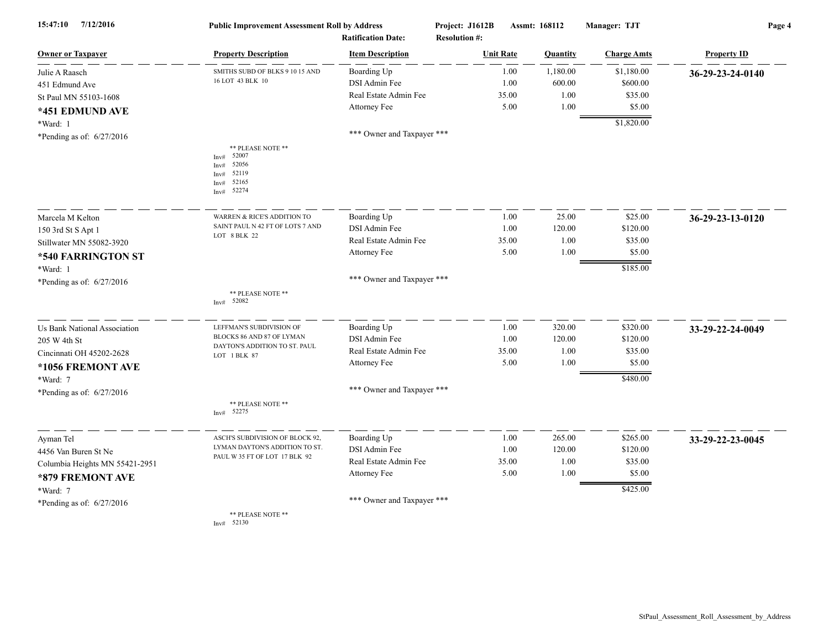| 15:47:10<br>7/12/2016               | <b>Public Improvement Assessment Roll by Address</b><br><b>Ratification Date:</b>                      |                            | Project: J1612B<br><b>Resolution #:</b> | Assmt: 168112 |          | Manager: TJT       | Page 4             |  |
|-------------------------------------|--------------------------------------------------------------------------------------------------------|----------------------------|-----------------------------------------|---------------|----------|--------------------|--------------------|--|
| <b>Owner or Taxpayer</b>            | <b>Property Description</b>                                                                            | <b>Item Description</b>    | <b>Unit Rate</b>                        |               | Quantity | <b>Charge Amts</b> | <b>Property ID</b> |  |
| Julie A Raasch                      | SMITHS SUBD OF BLKS 9 10 15 AND                                                                        | Boarding Up                |                                         | 1.00          | 1,180.00 | \$1,180.00         | 36-29-23-24-0140   |  |
| 451 Edmund Ave                      | 16 LOT 43 BLK 10                                                                                       | DSI Admin Fee              |                                         | 1.00          | 600.00   | \$600.00           |                    |  |
| St Paul MN 55103-1608               |                                                                                                        | Real Estate Admin Fee      |                                         | 35.00         | 1.00     | \$35.00            |                    |  |
| *451 EDMUND AVE                     |                                                                                                        | Attorney Fee               |                                         | 5.00          | 1.00     | \$5.00             |                    |  |
| *Ward: 1                            |                                                                                                        |                            |                                         |               |          | \$1,820.00         |                    |  |
| *Pending as of: 6/27/2016           |                                                                                                        | *** Owner and Taxpayer *** |                                         |               |          |                    |                    |  |
|                                     | ** PLEASE NOTE **<br>52007<br>Inv#<br>52056<br>Invt<br>52119<br>Inv#<br>52165<br>Inv#<br>52274<br>Inv# |                            |                                         |               |          |                    |                    |  |
| Marcela M Kelton                    | WARREN & RICE'S ADDITION TO                                                                            | Boarding Up                |                                         | 1.00          | 25.00    | \$25.00            | 36-29-23-13-0120   |  |
| 150 3rd St S Apt 1                  | SAINT PAUL N 42 FT OF LOTS 7 AND                                                                       | DSI Admin Fee              |                                         | 1.00          | 120.00   | \$120.00           |                    |  |
| Stillwater MN 55082-3920            | LOT 8 BLK 22                                                                                           | Real Estate Admin Fee      |                                         | 35.00         | 1.00     | \$35.00            |                    |  |
| *540 FARRINGTON ST                  |                                                                                                        | Attorney Fee               |                                         | 5.00          | 1.00     | \$5.00             |                    |  |
| *Ward: 1                            |                                                                                                        |                            |                                         |               |          | \$185.00           |                    |  |
| *Pending as of: 6/27/2016           |                                                                                                        | *** Owner and Taxpayer *** |                                         |               |          |                    |                    |  |
|                                     | ** PLEASE NOTE **<br>Inv# 52082                                                                        |                            |                                         |               |          |                    |                    |  |
| <b>Us Bank National Association</b> | LEFFMAN'S SUBDIVISION OF                                                                               | Boarding Up                |                                         | 1.00          | 320.00   | \$320.00           | 33-29-22-24-0049   |  |
| 205 W 4th St                        | BLOCKS 86 AND 87 OF LYMAN                                                                              | DSI Admin Fee              |                                         | 1.00          | 120.00   | \$120.00           |                    |  |
| Cincinnati OH 45202-2628            | DAYTON'S ADDITION TO ST. PAUL<br>LOT 1 BLK 87                                                          | Real Estate Admin Fee      |                                         | 35.00         | 1.00     | \$35.00            |                    |  |
| *1056 FREMONT AVE                   |                                                                                                        | Attorney Fee               |                                         | 5.00          | 1.00     | \$5.00             |                    |  |
| *Ward: 7                            |                                                                                                        |                            |                                         |               |          | \$480.00           |                    |  |
| *Pending as of: 6/27/2016           |                                                                                                        | *** Owner and Taxpayer *** |                                         |               |          |                    |                    |  |
|                                     | ** PLEASE NOTE **<br>52275<br>Inv#                                                                     |                            |                                         |               |          |                    |                    |  |
| Ayman Tel                           | ASCH'S SUBDIVISION OF BLOCK 92,                                                                        | Boarding Up                |                                         | 1.00          | 265.00   | \$265.00           | 33-29-22-23-0045   |  |
| 4456 Van Buren St Ne                | LYMAN DAYTON'S ADDITION TO ST.                                                                         | DSI Admin Fee              |                                         | 1.00          | 120.00   | \$120.00           |                    |  |
| Columbia Heights MN 55421-2951      | PAUL W 35 FT OF LOT 17 BLK 92                                                                          | Real Estate Admin Fee      |                                         | 35.00         | 1.00     | \$35.00            |                    |  |
| *879 FREMONT AVE                    |                                                                                                        | Attorney Fee               |                                         | 5.00          | 1.00     | \$5.00             |                    |  |
| *Ward: 7                            |                                                                                                        |                            |                                         |               |          | \$425.00           |                    |  |
| *Pending as of: $6/27/2016$         |                                                                                                        | *** Owner and Taxpayer *** |                                         |               |          |                    |                    |  |
|                                     | ** PLEASE NOTE **<br>52130<br>Inv#                                                                     |                            |                                         |               |          |                    |                    |  |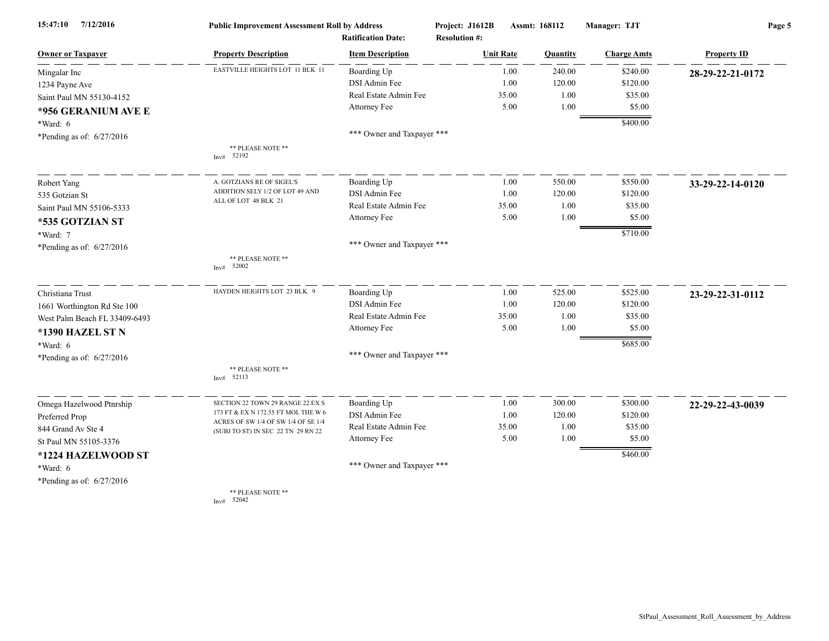| 7/12/2016<br>15:47:10         | <b>Public Improvement Assessment Roll by Address</b>                      |                                                      | Project: J1612B      | Assmt: 168112    |          | Manager: TJT       | Page 5             |  |
|-------------------------------|---------------------------------------------------------------------------|------------------------------------------------------|----------------------|------------------|----------|--------------------|--------------------|--|
| <b>Owner or Taxpayer</b>      | <b>Property Description</b>                                               | <b>Ratification Date:</b><br><b>Item Description</b> | <b>Resolution #:</b> | <b>Unit Rate</b> | Quantity | <b>Charge Amts</b> | <b>Property ID</b> |  |
| Mingalar Inc                  | EASTVILLE HEIGHTS LOT 11 BLK 11                                           | Boarding Up                                          |                      | 1.00             | 240.00   | \$240.00           | 28-29-22-21-0172   |  |
| 1234 Payne Ave                |                                                                           | DSI Admin Fee                                        |                      | 1.00             | 120.00   | \$120.00           |                    |  |
| Saint Paul MN 55130-4152      |                                                                           | Real Estate Admin Fee                                |                      | 35.00            | 1.00     | \$35.00            |                    |  |
| *956 GERANIUM AVE E           |                                                                           | Attorney Fee                                         |                      | 5.00             | 1.00     | \$5.00             |                    |  |
| *Ward: 6                      |                                                                           |                                                      |                      |                  |          | \$400.00           |                    |  |
| *Pending as of: 6/27/2016     |                                                                           | *** Owner and Taxpayer ***                           |                      |                  |          |                    |                    |  |
|                               | ** PLEASE NOTE **<br>Inv# 52192                                           |                                                      |                      |                  |          |                    |                    |  |
| Robert Yang                   | A. GOTZIANS RE OF SIGEL'S                                                 | Boarding Up                                          |                      | 1.00             | 550.00   | \$550.00           | 33-29-22-14-0120   |  |
| 535 Gotzian St                | ADDITION SELY 1/2 OF LOT 49 AND                                           | DSI Admin Fee                                        |                      | 1.00             | 120.00   | \$120.00           |                    |  |
| Saint Paul MN 55106-5333      | ALL OF LOT 48 BLK 21                                                      | Real Estate Admin Fee                                |                      | 35.00            | 1.00     | \$35.00            |                    |  |
| *535 GOTZIAN ST               |                                                                           | Attorney Fee                                         |                      | 5.00             | 1.00     | \$5.00             |                    |  |
| *Ward: 7                      |                                                                           |                                                      |                      |                  |          | \$710.00           |                    |  |
| *Pending as of: 6/27/2016     |                                                                           | *** Owner and Taxpayer ***                           |                      |                  |          |                    |                    |  |
|                               | ** PLEASE NOTE **<br>Inv# $52002$                                         |                                                      |                      |                  |          |                    |                    |  |
| Christiana Trust              | HAYDEN HEIGHTS LOT 23 BLK 9                                               | Boarding Up                                          |                      | 1.00             | 525.00   | \$525.00           | 23-29-22-31-0112   |  |
| 1661 Worthington Rd Ste 100   |                                                                           | DSI Admin Fee                                        |                      | 1.00             | 120.00   | \$120.00           |                    |  |
| West Palm Beach FL 33409-6493 |                                                                           | Real Estate Admin Fee                                |                      | 35.00            | 1.00     | \$35.00            |                    |  |
| *1390 HAZEL STN               |                                                                           | Attorney Fee                                         |                      | 5.00             | 1.00     | \$5.00             |                    |  |
| *Ward: 6                      |                                                                           |                                                      |                      |                  |          | \$685.00           |                    |  |
| *Pending as of: 6/27/2016     |                                                                           | *** Owner and Taxpayer ***                           |                      |                  |          |                    |                    |  |
|                               | ** PLEASE NOTE **<br>Inv# 52113                                           |                                                      |                      |                  |          |                    |                    |  |
| Omega Hazelwood Ptnrship      | SECTION 22 TOWN 29 RANGE 22 EX S                                          | Boarding Up                                          |                      | 1.00             | 300.00   | \$300.00           | 22-29-22-43-0039   |  |
| Preferred Prop                | 173 FT & EX N 172.55 FT MOL THE W 6                                       | DSI Admin Fee                                        |                      | 1.00             | 120.00   | \$120.00           |                    |  |
| 844 Grand Av Ste 4            | ACRES OF SW 1/4 OF SW 1/4 OF SE 1/4<br>(SUBJ TO ST) IN SEC 22 TN 29 RN 22 | Real Estate Admin Fee                                |                      | 35.00            | 1.00     | \$35.00            |                    |  |
| St Paul MN 55105-3376         |                                                                           | Attorney Fee                                         |                      | 5.00             | 1.00     | \$5.00             |                    |  |
| *1224 HAZELWOOD ST            |                                                                           |                                                      |                      |                  |          | \$460.00           |                    |  |
| $*Ward: 6$                    |                                                                           | *** Owner and Taxpayer ***                           |                      |                  |          |                    |                    |  |
| *Pending as of: 6/27/2016     |                                                                           |                                                      |                      |                  |          |                    |                    |  |
|                               | ** PLEASE NOTE **<br>Inv# 52042                                           |                                                      |                      |                  |          |                    |                    |  |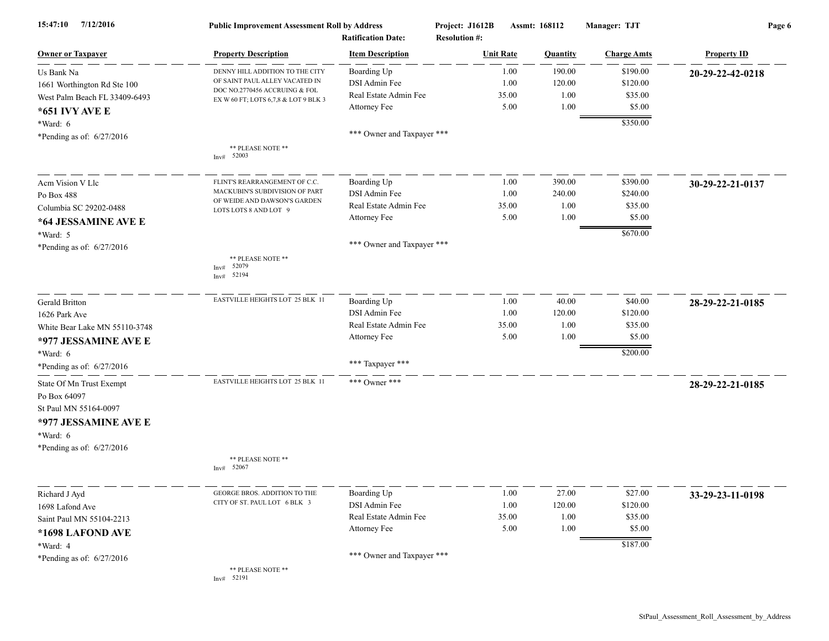| 7/12/2016<br>15:47:10         | <b>Public Improvement Assessment Roll by Address</b><br><b>Ratification Date:</b> |                            | Project: J1612B<br>Assmt: 168112<br><b>Resolution #:</b> |                 | Manager: TJT       | Page 6             |  |
|-------------------------------|-----------------------------------------------------------------------------------|----------------------------|----------------------------------------------------------|-----------------|--------------------|--------------------|--|
| <b>Owner or Taxpayer</b>      | <b>Property Description</b>                                                       | <b>Item Description</b>    | <b>Unit Rate</b>                                         | <b>Ouantity</b> | <b>Charge Amts</b> | <b>Property ID</b> |  |
| Us Bank Na                    | DENNY HILL ADDITION TO THE CITY                                                   | Boarding Up                | 1.00                                                     | 190.00          | \$190.00           | 20-29-22-42-0218   |  |
| 1661 Worthington Rd Ste 100   | OF SAINT PAUL ALLEY VACATED IN                                                    | DSI Admin Fee              | 1.00                                                     | 120.00          | \$120.00           |                    |  |
| West Palm Beach FL 33409-6493 | DOC NO.2770456 ACCRUING & FOL<br>EX W 60 FT; LOTS 6,7,8 & LOT 9 BLK 3             | Real Estate Admin Fee      | 35.00                                                    | 1.00            | \$35.00            |                    |  |
| *651 IVY AVE E                |                                                                                   | Attorney Fee               | 5.00                                                     | 1.00            | \$5.00             |                    |  |
| $*Ward: 6$                    |                                                                                   |                            |                                                          |                 | \$350.00           |                    |  |
| *Pending as of: $6/27/2016$   |                                                                                   | *** Owner and Taxpayer *** |                                                          |                 |                    |                    |  |
|                               | ** PLEASE NOTE **<br>Inv# 52003                                                   |                            |                                                          |                 |                    |                    |  |
| Acm Vision V Llc              | FLINT'S REARRANGEMENT OF C.C.                                                     | Boarding Up                | 1.00                                                     | 390.00          | \$390.00           | 30-29-22-21-0137   |  |
| Po Box 488                    | MACKUBIN'S SUBDIVISION OF PART                                                    | DSI Admin Fee              | 1.00                                                     | 240.00          | \$240.00           |                    |  |
| Columbia SC 29202-0488        | OF WEIDE AND DAWSON'S GARDEN<br>LOTS LOTS 8 AND LOT 9                             | Real Estate Admin Fee      | 35.00                                                    | 1.00            | \$35.00            |                    |  |
| *64 JESSAMINE AVE E           |                                                                                   | Attorney Fee               | 5.00                                                     | 1.00            | \$5.00             |                    |  |
| *Ward: 5                      |                                                                                   |                            |                                                          |                 | \$670.00           |                    |  |
| *Pending as of: $6/27/2016$   |                                                                                   | *** Owner and Taxpayer *** |                                                          |                 |                    |                    |  |
|                               | ** PLEASE NOTE **<br>Inv# 52079<br>52194<br>Inv#                                  |                            |                                                          |                 |                    |                    |  |
| Gerald Britton                | EASTVILLE HEIGHTS LOT 25 BLK 11                                                   | Boarding Up                | 1.00                                                     | 40.00           | \$40.00            | 28-29-22-21-0185   |  |
| 1626 Park Ave                 |                                                                                   | DSI Admin Fee              | 1.00                                                     | 120.00          | \$120.00           |                    |  |
| White Bear Lake MN 55110-3748 |                                                                                   | Real Estate Admin Fee      | 35.00                                                    | 1.00            | \$35.00            |                    |  |
| *977 JESSAMINE AVE E          |                                                                                   | Attorney Fee               | 5.00                                                     | 1.00            | \$5.00             |                    |  |
| *Ward: 6                      |                                                                                   |                            |                                                          |                 | \$200.00           |                    |  |
| *Pending as of: $6/27/2016$   |                                                                                   | *** Taxpayer ***           |                                                          |                 |                    |                    |  |
| State Of Mn Trust Exempt      | EASTVILLE HEIGHTS LOT 25 BLK 11                                                   | *** Owner ***              |                                                          |                 |                    | 28-29-22-21-0185   |  |
| Po Box 64097                  |                                                                                   |                            |                                                          |                 |                    |                    |  |
| St Paul MN 55164-0097         |                                                                                   |                            |                                                          |                 |                    |                    |  |
| *977 JESSAMINE AVE E          |                                                                                   |                            |                                                          |                 |                    |                    |  |
| *Ward: 6                      |                                                                                   |                            |                                                          |                 |                    |                    |  |
| *Pending as of: $6/27/2016$   |                                                                                   |                            |                                                          |                 |                    |                    |  |
|                               | ** PLEASE NOTE **<br>Inv# 52067                                                   |                            |                                                          |                 |                    |                    |  |
| Richard J Ayd                 | GEORGE BROS. ADDITION TO THE                                                      | Boarding Up                | $1.00\,$                                                 | 27.00           | \$27.00            | 33-29-23-11-0198   |  |
| 1698 Lafond Ave               | CITY OF ST. PAUL LOT 6 BLK 3                                                      | DSI Admin Fee              | 1.00                                                     | 120.00          | \$120.00           |                    |  |
| Saint Paul MN 55104-2213      |                                                                                   | Real Estate Admin Fee      | 35.00                                                    | 1.00            | \$35.00            |                    |  |
| *1698 LAFOND AVE              |                                                                                   | Attorney Fee               | 5.00                                                     | 1.00            | \$5.00             |                    |  |
| *Ward: 4                      |                                                                                   |                            |                                                          |                 | \$187.00           |                    |  |
| *Pending as of: $6/27/2016$   |                                                                                   | *** Owner and Taxpayer *** |                                                          |                 |                    |                    |  |
|                               | ** PLEASE NOTE **<br>Inv# 52191                                                   |                            |                                                          |                 |                    |                    |  |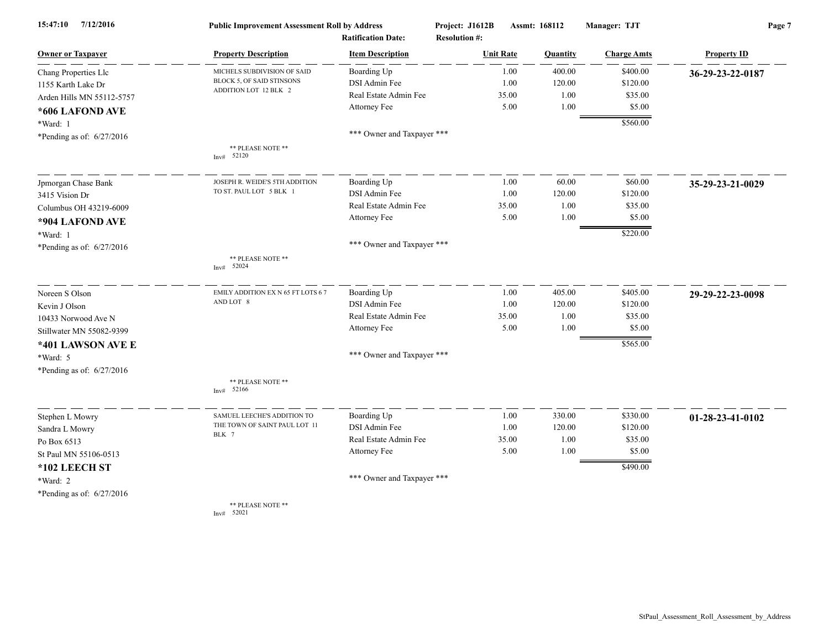| 15:47:10<br>7/12/2016       | <b>Public Improvement Assessment Roll by Address</b><br><b>Ratification Date:</b> |                            | Assmt: 168112<br>Project: J1612B<br><b>Resolution #:</b> |                 | Manager: TJT       | Page 7             |  |
|-----------------------------|-----------------------------------------------------------------------------------|----------------------------|----------------------------------------------------------|-----------------|--------------------|--------------------|--|
| <b>Owner or Taxpayer</b>    | <b>Property Description</b>                                                       | <b>Item Description</b>    | <b>Unit Rate</b>                                         | <b>Quantity</b> | <b>Charge Amts</b> | <b>Property ID</b> |  |
| Chang Properties Llc        | MICHELS SUBDIVISION OF SAID                                                       | Boarding Up                | 1.00                                                     | 400.00          | \$400.00           | 36-29-23-22-0187   |  |
| 1155 Karth Lake Dr          | BLOCK 5, OF SAID STINSONS                                                         | DSI Admin Fee              | 1.00                                                     | 120.00          | \$120.00           |                    |  |
| Arden Hills MN 55112-5757   | ADDITION LOT 12 BLK 2                                                             | Real Estate Admin Fee      | 35.00                                                    | 1.00            | \$35.00            |                    |  |
| *606 LAFOND AVE             |                                                                                   | Attorney Fee               | 5.00                                                     | 1.00            | \$5.00             |                    |  |
| *Ward: 1                    |                                                                                   |                            |                                                          |                 | \$560.00           |                    |  |
| *Pending as of: $6/27/2016$ |                                                                                   | *** Owner and Taxpayer *** |                                                          |                 |                    |                    |  |
|                             | ** PLEASE NOTE **                                                                 |                            |                                                          |                 |                    |                    |  |
|                             | Inv# 52120                                                                        |                            |                                                          |                 |                    |                    |  |
| Jpmorgan Chase Bank         | JOSEPH R. WEIDE'S 5TH ADDITION                                                    | Boarding Up                | 1.00                                                     | 60.00           | \$60.00            | 35-29-23-21-0029   |  |
| 3415 Vision Dr              | TO ST. PAUL LOT 5 BLK 1                                                           | DSI Admin Fee              | 1.00                                                     | 120.00          | \$120.00           |                    |  |
| Columbus OH 43219-6009      |                                                                                   | Real Estate Admin Fee      | 35.00                                                    | 1.00            | \$35.00            |                    |  |
| *904 LAFOND AVE             |                                                                                   | Attorney Fee               | 5.00                                                     | 1.00            | \$5.00             |                    |  |
| *Ward: 1                    |                                                                                   |                            |                                                          |                 | \$220.00           |                    |  |
| *Pending as of: $6/27/2016$ |                                                                                   | *** Owner and Taxpayer *** |                                                          |                 |                    |                    |  |
|                             | ** PLEASE NOTE **<br>Inv# $52024$                                                 |                            |                                                          |                 |                    |                    |  |
| Noreen S Olson              | EMILY ADDITION EX N 65 FT LOTS 6 7                                                | Boarding Up                | 1.00                                                     | 405.00          | \$405.00           | 29-29-22-23-0098   |  |
| Kevin J Olson               | AND LOT 8                                                                         | DSI Admin Fee              | 1.00                                                     | 120.00          | \$120.00           |                    |  |
| 10433 Norwood Ave N         |                                                                                   | Real Estate Admin Fee      | 35.00                                                    | 1.00            | \$35.00            |                    |  |
| Stillwater MN 55082-9399    |                                                                                   | Attorney Fee               | 5.00                                                     | 1.00            | \$5.00             |                    |  |
| *401 LAWSON AVE E           |                                                                                   |                            |                                                          |                 | \$565.00           |                    |  |
| *Ward: 5                    |                                                                                   | *** Owner and Taxpayer *** |                                                          |                 |                    |                    |  |
| *Pending as of: $6/27/2016$ |                                                                                   |                            |                                                          |                 |                    |                    |  |
|                             | ** PLEASE NOTE **<br>Inv# 52166                                                   |                            |                                                          |                 |                    |                    |  |
| Stephen L Mowry             | SAMUEL LEECHE'S ADDITION TO                                                       | Boarding Up                | 1.00                                                     | 330.00          | \$330.00           | 01-28-23-41-0102   |  |
| Sandra L Mowry              | THE TOWN OF SAINT PAUL LOT 11                                                     | DSI Admin Fee              | 1.00                                                     | 120.00          | \$120.00           |                    |  |
| Po Box 6513                 | BLK 7                                                                             | Real Estate Admin Fee      | 35.00                                                    | 1.00            | \$35.00            |                    |  |
| St Paul MN 55106-0513       |                                                                                   | Attorney Fee               | 5.00                                                     | 1.00            | \$5.00             |                    |  |
| *102 LEECH ST               |                                                                                   |                            |                                                          |                 | \$490.00           |                    |  |
| *Ward: 2                    |                                                                                   | *** Owner and Taxpayer *** |                                                          |                 |                    |                    |  |
| *Pending as of: $6/27/2016$ |                                                                                   |                            |                                                          |                 |                    |                    |  |
|                             | ** PLEASE NOTE **<br>Inv# 52021                                                   |                            |                                                          |                 |                    |                    |  |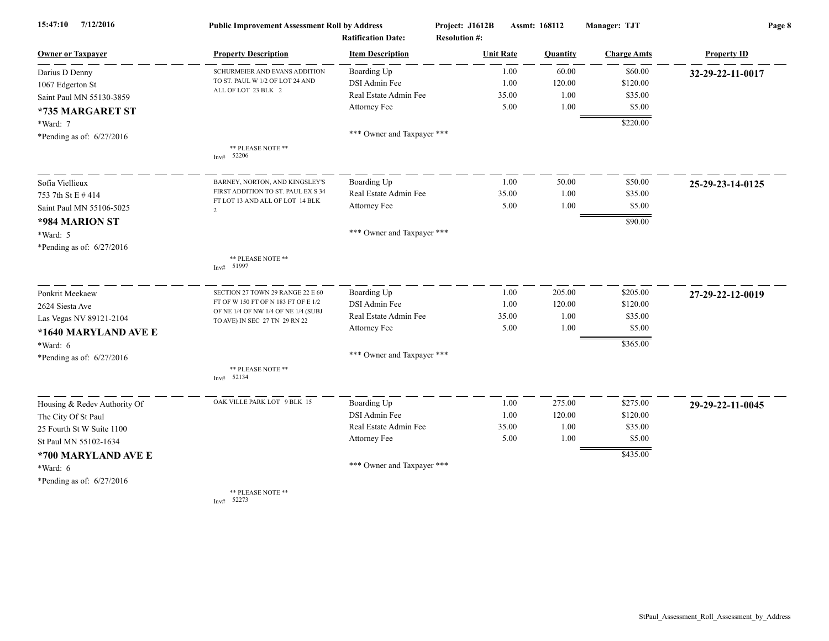| 15:47:10<br>7/12/2016        | <b>Public Improvement Assessment Roll by Address</b><br><b>Ratification Date:</b> |                            | Project: J1612B<br>Assmt: 168112<br><b>Resolution #:</b> |       | Manager: TJT | Page 8             |                    |
|------------------------------|-----------------------------------------------------------------------------------|----------------------------|----------------------------------------------------------|-------|--------------|--------------------|--------------------|
| <b>Owner or Taxpayer</b>     | <b>Property Description</b>                                                       | <b>Item Description</b>    | <b>Unit Rate</b>                                         |       | Quantity     | <b>Charge Amts</b> | <b>Property ID</b> |
| Darius D Denny               | SCHURMEIER AND EVANS ADDITION                                                     | Boarding Up                |                                                          | 1.00  | 60.00        | \$60.00            | 32-29-22-11-0017   |
| 1067 Edgerton St             | TO ST. PAUL W 1/2 OF LOT 24 AND                                                   | DSI Admin Fee              |                                                          | 1.00  | 120.00       | \$120.00           |                    |
| Saint Paul MN 55130-3859     | ALL OF LOT 23 BLK 2                                                               | Real Estate Admin Fee      |                                                          | 35.00 | 1.00         | \$35.00            |                    |
| *735 MARGARET ST             |                                                                                   | Attorney Fee               |                                                          | 5.00  | 1.00         | \$5.00             |                    |
| *Ward: 7                     |                                                                                   |                            |                                                          |       |              | \$220.00           |                    |
| *Pending as of: $6/27/2016$  |                                                                                   | *** Owner and Taxpayer *** |                                                          |       |              |                    |                    |
|                              | ** PLEASE NOTE **<br>Inv# $52206$                                                 |                            |                                                          |       |              |                    |                    |
| Sofia Viellieux              | BARNEY, NORTON, AND KINGSLEY'S                                                    | Boarding Up                |                                                          | 1.00  | 50.00        | \$50.00            | 25-29-23-14-0125   |
| 753 7th St E # 414           | FIRST ADDITION TO ST. PAUL EX S 34                                                | Real Estate Admin Fee      |                                                          | 35.00 | 1.00         | \$35.00            |                    |
| Saint Paul MN 55106-5025     | FT LOT 13 AND ALL OF LOT 14 BLK<br>$\overline{2}$                                 | Attorney Fee               |                                                          | 5.00  | 1.00         | \$5.00             |                    |
| *984 MARION ST               |                                                                                   |                            |                                                          |       |              | \$90.00            |                    |
| *Ward: 5                     |                                                                                   | *** Owner and Taxpayer *** |                                                          |       |              |                    |                    |
| *Pending as of: 6/27/2016    |                                                                                   |                            |                                                          |       |              |                    |                    |
|                              | ** PLEASE NOTE **<br>Inv# 51997                                                   |                            |                                                          |       |              |                    |                    |
| Ponkrit Meekaew              | SECTION 27 TOWN 29 RANGE 22 E 60                                                  | Boarding Up                |                                                          | 1.00  | 205.00       | \$205.00           | 27-29-22-12-0019   |
| 2624 Siesta Ave              | FT OF W 150 FT OF N 183 FT OF E 1/2<br>OF NE 1/4 OF NW 1/4 OF NE 1/4 (SUBJ        | DSI Admin Fee              |                                                          | 1.00  | 120.00       | \$120.00           |                    |
| Las Vegas NV 89121-2104      | TO AVE) IN SEC 27 TN 29 RN 22                                                     | Real Estate Admin Fee      |                                                          | 35.00 | 1.00         | \$35.00            |                    |
| *1640 MARYLAND AVE E         |                                                                                   | Attorney Fee               |                                                          | 5.00  | 1.00         | \$5.00             |                    |
| $*Ward: 6$                   |                                                                                   |                            |                                                          |       |              | \$365.00           |                    |
| *Pending as of: $6/27/2016$  |                                                                                   | *** Owner and Taxpayer *** |                                                          |       |              |                    |                    |
|                              | ** PLEASE NOTE **<br>Inv# 52134                                                   |                            |                                                          |       |              |                    |                    |
| Housing & Redev Authority Of | OAK VILLE PARK LOT 9 BLK 15                                                       | Boarding Up                |                                                          | 1.00  | 275.00       | \$275.00           | 29-29-22-11-0045   |
| The City Of St Paul          |                                                                                   | DSI Admin Fee              |                                                          | 1.00  | 120.00       | \$120.00           |                    |
| 25 Fourth St W Suite 1100    |                                                                                   | Real Estate Admin Fee      |                                                          | 35.00 | 1.00         | \$35.00            |                    |
| St Paul MN 55102-1634        |                                                                                   | Attorney Fee               |                                                          | 5.00  | 1.00         | \$5.00             |                    |
| *700 MARYLAND AVE E          |                                                                                   |                            |                                                          |       |              | \$435.00           |                    |
| $*Ward: 6$                   |                                                                                   | *** Owner and Taxpayer *** |                                                          |       |              |                    |                    |
| *Pending as of: $6/27/2016$  |                                                                                   |                            |                                                          |       |              |                    |                    |
|                              | ** PLEASE NOTE **<br>Inv# 52273                                                   |                            |                                                          |       |              |                    |                    |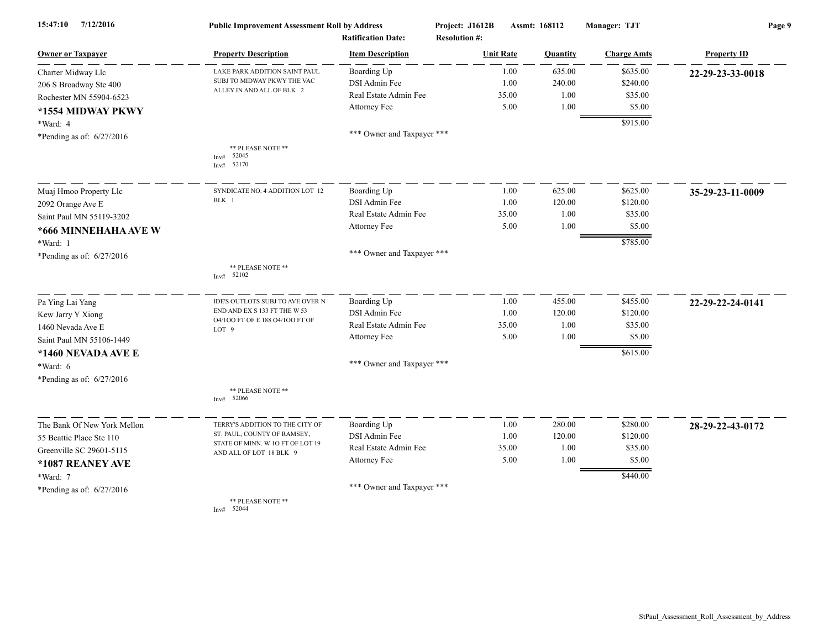| 15:47:10<br>7/12/2016       | <b>Public Improvement Assessment Roll by Address</b><br><b>Ratification Date:</b> |                            | Project: J1612B<br><b>Resolution #:</b> | Assmt: 168112 |                    | Page 9             |  |
|-----------------------------|-----------------------------------------------------------------------------------|----------------------------|-----------------------------------------|---------------|--------------------|--------------------|--|
| <b>Owner or Taxpayer</b>    | <b>Property Description</b>                                                       | <b>Item Description</b>    | <b>Unit Rate</b>                        | Quantity      | <b>Charge Amts</b> | <b>Property ID</b> |  |
| Charter Midway Llc          | LAKE PARK ADDITION SAINT PAUL                                                     | Boarding Up                | 1.00                                    | 635.00        | \$635.00           | 22-29-23-33-0018   |  |
| 206 S Broadway Ste 400      | SUBJ TO MIDWAY PKWY THE VAC                                                       | DSI Admin Fee              | 1.00                                    | 240.00        | \$240.00           |                    |  |
| Rochester MN 55904-6523     | ALLEY IN AND ALL OF BLK 2                                                         | Real Estate Admin Fee      | 35.00                                   | 1.00          | \$35.00            |                    |  |
| *1554 MIDWAY PKWY           |                                                                                   | Attorney Fee               | 5.00                                    | 1.00          | \$5.00             |                    |  |
| *Ward: 4                    |                                                                                   |                            |                                         |               | \$915.00           |                    |  |
| *Pending as of: $6/27/2016$ |                                                                                   | *** Owner and Taxpayer *** |                                         |               |                    |                    |  |
|                             | ** PLEASE NOTE **<br>52045<br>Inv#<br>52170<br>Inv#                               |                            |                                         |               |                    |                    |  |
| Muaj Hmoo Property Llc      | SYNDICATE NO. 4 ADDITION LOT 12                                                   | Boarding Up                | 1.00                                    | 625.00        | \$625.00           | 35-29-23-11-0009   |  |
| 2092 Orange Ave E           | BLK 1                                                                             | DSI Admin Fee              | 1.00                                    | 120.00        | \$120.00           |                    |  |
| Saint Paul MN 55119-3202    |                                                                                   | Real Estate Admin Fee      | 35.00                                   | 1.00          | \$35.00            |                    |  |
| *666 MINNEHAHA AVE W        |                                                                                   | Attorney Fee               | 5.00                                    | 1.00          | \$5.00             |                    |  |
| *Ward: 1                    |                                                                                   |                            |                                         |               | \$785.00           |                    |  |
| *Pending as of: $6/27/2016$ |                                                                                   | *** Owner and Taxpayer *** |                                         |               |                    |                    |  |
|                             | ** PLEASE NOTE **<br>52102<br>Inv#                                                |                            |                                         |               |                    |                    |  |
| Pa Ying Lai Yang            | IDE'S OUTLOTS SUBJ TO AVE OVER N                                                  | Boarding Up                | 1.00                                    | 455.00        | \$455.00           | 22-29-22-24-0141   |  |
| Kew Jarry Y Xiong           | END AND EX S 133 FT THE W 53                                                      | <b>DSI</b> Admin Fee       | 1.00                                    | 120.00        | \$120.00           |                    |  |
| 1460 Nevada Ave E           | 04/100 FT OF E 188 04/100 FT OF<br>LOT <sub>9</sub>                               | Real Estate Admin Fee      | 35.00                                   | 1.00          | \$35.00            |                    |  |
| Saint Paul MN 55106-1449    |                                                                                   | Attorney Fee               | 5.00                                    | 1.00          | \$5.00             |                    |  |
| *1460 NEVADA AVE E          |                                                                                   |                            |                                         |               | \$615.00           |                    |  |
| *Ward: 6                    |                                                                                   | *** Owner and Taxpayer *** |                                         |               |                    |                    |  |
| *Pending as of: 6/27/2016   |                                                                                   |                            |                                         |               |                    |                    |  |
|                             | ** PLEASE NOTE **<br>Inv# $52066$                                                 |                            |                                         |               |                    |                    |  |
| The Bank Of New York Mellon | TERRY'S ADDITION TO THE CITY OF                                                   | Boarding Up                | 1.00                                    | 280.00        | \$280.00           | 28-29-22-43-0172   |  |
| 55 Beattie Place Ste 110    | ST. PAUL, COUNTY OF RAMSEY,                                                       | DSI Admin Fee              | 1.00                                    | 120.00        | \$120.00           |                    |  |
| Greenville SC 29601-5115    | STATE OF MINN. W 10 FT OF LOT 19<br>AND ALL OF LOT 18 BLK 9                       | Real Estate Admin Fee      | 35.00                                   | 1.00          | \$35.00            |                    |  |
| *1087 REANEY AVE            |                                                                                   | Attorney Fee               | 5.00                                    | 1.00          | \$5.00             |                    |  |
| *Ward: 7                    |                                                                                   |                            |                                         |               | \$440.00           |                    |  |
| *Pending as of: $6/27/2016$ |                                                                                   | *** Owner and Taxpayer *** |                                         |               |                    |                    |  |
|                             | ** PLEASE NOTE **<br>Inv# 52044                                                   |                            |                                         |               |                    |                    |  |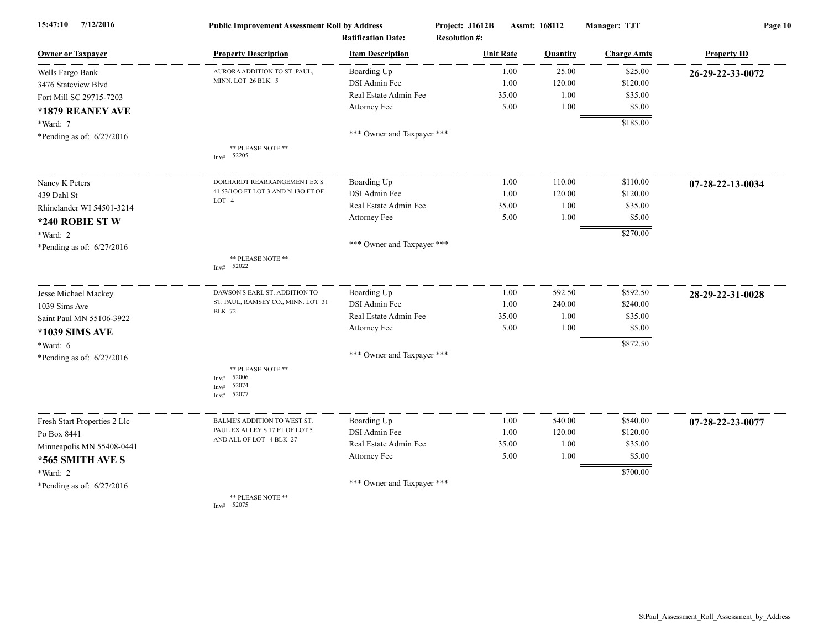| 7/12/2016<br>15:47:10        | <b>Public Improvement Assessment Roll by Address</b><br><b>Ratification Date:</b> |                            | Project: J1612B<br><b>Resolution #:</b> | Assmt: 168112 |          | Manager: TJT       | Page 10            |  |
|------------------------------|-----------------------------------------------------------------------------------|----------------------------|-----------------------------------------|---------------|----------|--------------------|--------------------|--|
| <b>Owner or Taxpayer</b>     | <b>Property Description</b>                                                       | <b>Item Description</b>    | <b>Unit Rate</b>                        |               | Quantity | <b>Charge Amts</b> | <b>Property ID</b> |  |
| Wells Fargo Bank             | AURORA ADDITION TO ST. PAUL,                                                      | Boarding Up                |                                         | 1.00          | 25.00    | \$25.00            | 26-29-22-33-0072   |  |
| 3476 Stateview Blvd          | MINN. LOT 26 BLK 5                                                                | DSI Admin Fee              |                                         | 1.00          | 120.00   | \$120.00           |                    |  |
| Fort Mill SC 29715-7203      |                                                                                   | Real Estate Admin Fee      |                                         | 35.00         | 1.00     | \$35.00            |                    |  |
| *1879 REANEY AVE             |                                                                                   | Attorney Fee               |                                         | 5.00          | 1.00     | \$5.00             |                    |  |
| *Ward: 7                     |                                                                                   |                            |                                         |               |          | \$185.00           |                    |  |
| *Pending as of: $6/27/2016$  |                                                                                   | *** Owner and Taxpayer *** |                                         |               |          |                    |                    |  |
|                              | ** PLEASE NOTE **<br>Inv# 52205                                                   |                            |                                         |               |          |                    |                    |  |
| Nancy K Peters               | DORHARDT REARRANGEMENT EX S                                                       | Boarding Up                |                                         | 1.00          | 110.00   | \$110.00           | 07-28-22-13-0034   |  |
| 439 Dahl St                  | 41 53/100 FT LOT 3 AND N 130 FT OF                                                | DSI Admin Fee              |                                         | 1.00          | 120.00   | \$120.00           |                    |  |
| Rhinelander WI 54501-3214    | LOT 4                                                                             | Real Estate Admin Fee      |                                         | 35.00         | 1.00     | \$35.00            |                    |  |
| *240 ROBIE STW               |                                                                                   | Attorney Fee               |                                         | 5.00          | 1.00     | \$5.00             |                    |  |
| *Ward: 2                     |                                                                                   |                            |                                         |               |          | \$270.00           |                    |  |
| *Pending as of: 6/27/2016    |                                                                                   | *** Owner and Taxpayer *** |                                         |               |          |                    |                    |  |
|                              | ** PLEASE NOTE **<br>52022<br>Inv#                                                |                            |                                         |               |          |                    |                    |  |
| Jesse Michael Mackey         | DAWSON'S EARL ST. ADDITION TO                                                     | Boarding Up                |                                         | 1.00          | 592.50   | \$592.50           | 28-29-22-31-0028   |  |
| 1039 Sims Ave                | ST. PAUL, RAMSEY CO., MINN. LOT 31<br><b>BLK 72</b>                               | DSI Admin Fee              |                                         | 1.00          | 240.00   | \$240.00           |                    |  |
| Saint Paul MN 55106-3922     |                                                                                   | Real Estate Admin Fee      |                                         | 35.00         | 1.00     | \$35.00            |                    |  |
| *1039 SIMS AVE               |                                                                                   | Attorney Fee               |                                         | 5.00          | 1.00     | \$5.00             |                    |  |
| *Ward: 6                     |                                                                                   |                            |                                         |               |          | \$872.50           |                    |  |
| *Pending as of: 6/27/2016    |                                                                                   | *** Owner and Taxpayer *** |                                         |               |          |                    |                    |  |
|                              | ** PLEASE NOTE **<br>52006<br>Inv#<br>52074<br>Inv#<br>52077<br>Inv#              |                            |                                         |               |          |                    |                    |  |
| Fresh Start Properties 2 Llc | BALME'S ADDITION TO WEST ST.                                                      | Boarding Up                |                                         | 1.00          | 540.00   | \$540.00           | 07-28-22-23-0077   |  |
| Po Box 8441                  | PAUL EX ALLEY S 17 FT OF LOT 5<br>AND ALL OF LOT 4 BLK 27                         | DSI Admin Fee              |                                         | 1.00          | 120.00   | \$120.00           |                    |  |
| Minneapolis MN 55408-0441    |                                                                                   | Real Estate Admin Fee      |                                         | 35.00         | 1.00     | \$35.00            |                    |  |
| *565 SMITH AVE S             |                                                                                   | Attorney Fee               |                                         | 5.00          | 1.00     | \$5.00             |                    |  |
| *Ward: 2                     |                                                                                   |                            |                                         |               |          | \$700.00           |                    |  |
| *Pending as of: $6/27/2016$  |                                                                                   | *** Owner and Taxpayer *** |                                         |               |          |                    |                    |  |
|                              | ** PLEASE NOTE **                                                                 |                            |                                         |               |          |                    |                    |  |

Inv# 52075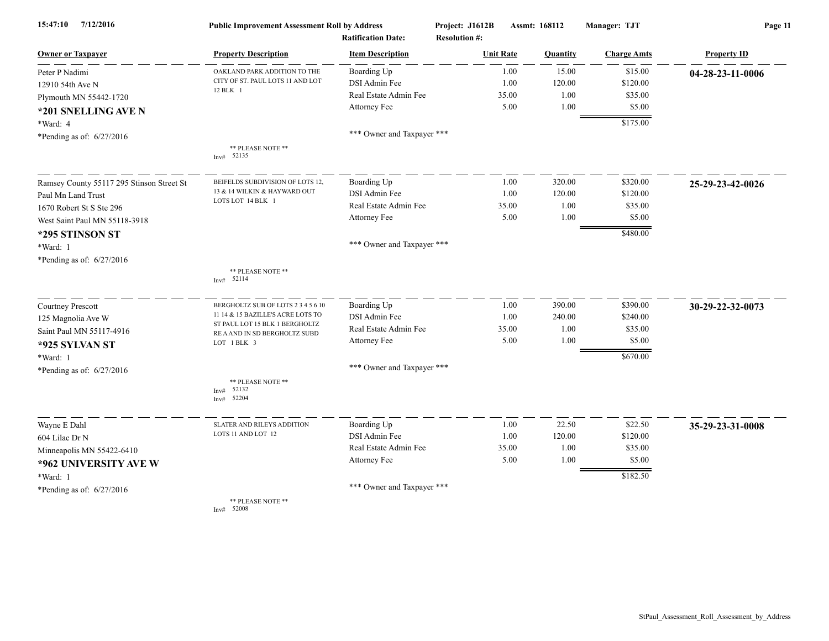| 7/12/2016<br>15:47:10                     | <b>Public Improvement Assessment Roll by Address</b>            |                                                      | Project: J1612B                          | Assmt: 168112 |          | Manager: TJT       | Page 11            |  |
|-------------------------------------------|-----------------------------------------------------------------|------------------------------------------------------|------------------------------------------|---------------|----------|--------------------|--------------------|--|
| <b>Owner or Taxpayer</b>                  | <b>Property Description</b>                                     | <b>Ratification Date:</b><br><b>Item Description</b> | <b>Resolution #:</b><br><b>Unit Rate</b> |               | Quantity | <b>Charge Amts</b> | <b>Property ID</b> |  |
| Peter P Nadimi                            | OAKLAND PARK ADDITION TO THE                                    | Boarding Up                                          |                                          | 1.00          | 15.00    | \$15.00            | 04-28-23-11-0006   |  |
| 12910 54th Ave N                          | CITY OF ST. PAUL LOTS 11 AND LOT                                | DSI Admin Fee                                        |                                          | 1.00          | 120.00   | \$120.00           |                    |  |
| Plymouth MN 55442-1720                    | 12 BLK 1                                                        | Real Estate Admin Fee                                |                                          | 35.00         | 1.00     | \$35.00            |                    |  |
| *201 SNELLING AVE N                       |                                                                 | Attorney Fee                                         |                                          | 5.00          | 1.00     | \$5.00             |                    |  |
| *Ward: 4                                  |                                                                 |                                                      |                                          |               |          | \$175.00           |                    |  |
| *Pending as of: 6/27/2016                 |                                                                 | *** Owner and Taxpayer ***                           |                                          |               |          |                    |                    |  |
|                                           | ** PLEASE NOTE **<br>Inv# 52135                                 |                                                      |                                          |               |          |                    |                    |  |
| Ramsey County 55117 295 Stinson Street St | BEIFELDS SUBDIVISION OF LOTS 12,                                | Boarding Up                                          |                                          | 1.00          | 320.00   | \$320.00           | 25-29-23-42-0026   |  |
| Paul Mn Land Trust                        | 13 & 14 WILKIN & HAYWARD OUT                                    | DSI Admin Fee                                        |                                          | 1.00          | 120.00   | \$120.00           |                    |  |
| 1670 Robert St S Ste 296                  | LOTS LOT 14 BLK 1                                               | Real Estate Admin Fee                                |                                          | 35.00         | 1.00     | \$35.00            |                    |  |
| West Saint Paul MN 55118-3918             |                                                                 | Attorney Fee                                         |                                          | 5.00          | 1.00     | \$5.00             |                    |  |
| *295 STINSON ST                           |                                                                 |                                                      |                                          |               |          | \$480.00           |                    |  |
| *Ward: 1                                  |                                                                 | *** Owner and Taxpayer ***                           |                                          |               |          |                    |                    |  |
| *Pending as of: 6/27/2016                 |                                                                 |                                                      |                                          |               |          |                    |                    |  |
|                                           | ** PLEASE NOTE **<br>52114<br>Inv#                              |                                                      |                                          |               |          |                    |                    |  |
| Courtney Prescott                         | BERGHOLTZ SUB OF LOTS 2 3 4 5 6 10                              | Boarding Up                                          |                                          | 1.00          | 390.00   | \$390.00           | 30-29-22-32-0073   |  |
| 125 Magnolia Ave W                        | 11 14 & 15 BAZILLE'S ACRE LOTS TO                               | DSI Admin Fee                                        |                                          | 1.00          | 240.00   | \$240.00           |                    |  |
| Saint Paul MN 55117-4916                  | ST PAUL LOT 15 BLK 1 BERGHOLTZ<br>RE A AND IN SD BERGHOLTZ SUBD | Real Estate Admin Fee                                |                                          | 35.00         | 1.00     | \$35.00            |                    |  |
| *925 SYLVAN ST                            | LOT 1 BLK 3                                                     | Attorney Fee                                         |                                          | 5.00          | 1.00     | \$5.00             |                    |  |
| *Ward: 1                                  |                                                                 |                                                      |                                          |               |          | \$670.00           |                    |  |
| *Pending as of: 6/27/2016                 |                                                                 | *** Owner and Taxpayer ***                           |                                          |               |          |                    |                    |  |
|                                           | ** PLEASE NOTE **<br>52132<br>Inv#<br>52204<br>Inv#             |                                                      |                                          |               |          |                    |                    |  |
| Wayne E Dahl                              | <b>SLATER AND RILEYS ADDITION</b>                               | Boarding Up                                          |                                          | 1.00          | 22.50    | \$22.50            | 35-29-23-31-0008   |  |
| 604 Lilac Dr N                            | LOTS 11 AND LOT 12                                              | DSI Admin Fee                                        |                                          | 1.00          | 120.00   | \$120.00           |                    |  |
| Minneapolis MN 55422-6410                 |                                                                 | Real Estate Admin Fee                                |                                          | 35.00         | 1.00     | \$35.00            |                    |  |
| *962 UNIVERSITY AVE W                     |                                                                 | Attorney Fee                                         |                                          | 5.00          | 1.00     | \$5.00             |                    |  |
| *Ward: 1                                  |                                                                 |                                                      |                                          |               |          | \$182.50           |                    |  |
| *Pending as of: 6/27/2016                 |                                                                 | *** Owner and Taxpayer ***                           |                                          |               |          |                    |                    |  |
|                                           | ** PLEASE NOTE **                                               |                                                      |                                          |               |          |                    |                    |  |

Inv# 52008